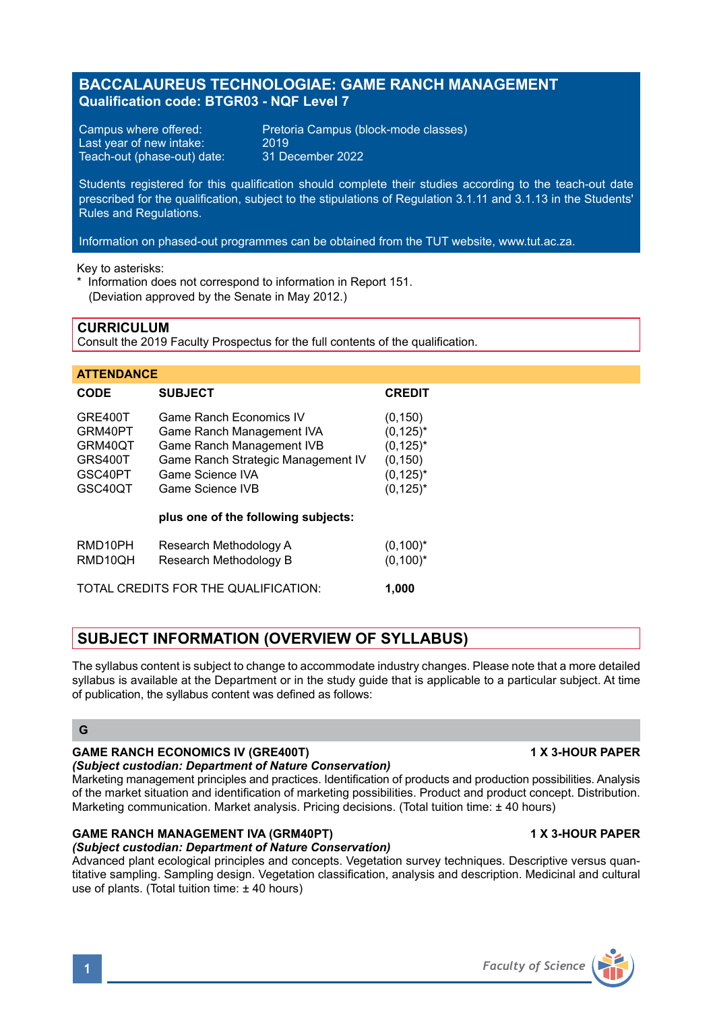# **BACCALAUREUS TECHNOLOGIAE: GAME RANCH MANAGEMENT Qualification code: BTGR03 - NQF Level 7**

Last year of new intake: 2019<br>Teach-out (phase-out) date: 31 December 2022 Teach-out (phase-out) date:

Campus where offered: Pretoria Campus (block-mode classes)<br>Last vear of new intake: 2019

Students registered for this qualification should complete their studies according to the teach-out date prescribed for the qualification, subject to the stipulations of Regulation 3.1.11 and 3.1.13 in the Students' Rules and Regulations.

Information on phased-out programmes can be obtained from the TUT website, www.tut.ac.za.

Key to asterisks:

\* Information does not correspond to information in Report 151. (Deviation approved by the Senate in May 2012.)

## **CURRICULUM**

Consult the 2019 Faculty Prospectus for the full contents of the qualification.

| <b>ATTENDANCE</b>                                              |                                                                                                                                                                 |                                                                                     |
|----------------------------------------------------------------|-----------------------------------------------------------------------------------------------------------------------------------------------------------------|-------------------------------------------------------------------------------------|
| CODE                                                           | <b>SUBJECT</b>                                                                                                                                                  | <b>CREDIT</b>                                                                       |
| GRE400T<br>GRM40PT<br>GRM40QT<br>GRS400T<br>GSC40PT<br>GSC40QT | Game Ranch Economics IV<br>Game Ranch Management IVA<br>Game Ranch Management IVB<br>Game Ranch Strategic Management IV<br>Game Science IVA<br>Game Science IVB | (0, 150)<br>$(0.125)^*$<br>$(0, 125)^*$<br>(0, 150)<br>$(0, 125)^*$<br>$(0, 125)^*$ |
|                                                                | plus one of the following subjects:                                                                                                                             |                                                                                     |
| RMD10PH<br>RMD10OH                                             | Research Methodology A<br>Research Methodology B                                                                                                                | $(0,100)^*$<br>$(0,100)^*$                                                          |
| TOTAL CREDITS FOR THE QUALIFICATION:<br>1.000                  |                                                                                                                                                                 |                                                                                     |

# **SUBJECT INFORMATION (OVERVIEW OF SYLLABUS)**

The syllabus content is subject to change to accommodate industry changes. Please note that a more detailed syllabus is available at the Department or in the study guide that is applicable to a particular subject. At time of publication, the syllabus content was defined as follows:

#### **G**

# **GAME RANCH ECONOMICS IV (GRE400T) 4 X 3-HOUR PAPER**

# *(Subject custodian: Department of Nature Conservation)*

Marketing management principles and practices. Identification of products and production possibilities. Analysis of the market situation and identification of marketing possibilities. Product and product concept. Distribution. Marketing communication. Market analysis. Pricing decisions. (Total tuition time: ± 40 hours)

# GAME RANCH MANAGEMENT IVA (GRM40PT) 1 1 X 3-HOUR PAPER

# *(Subject custodian: Department of Nature Conservation)*

Advanced plant ecological principles and concepts. Vegetation survey techniques. Descriptive versus quantitative sampling. Sampling design. Vegetation classification, analysis and description. Medicinal and cultural use of plants. (Total tuition time: ± 40 hours)